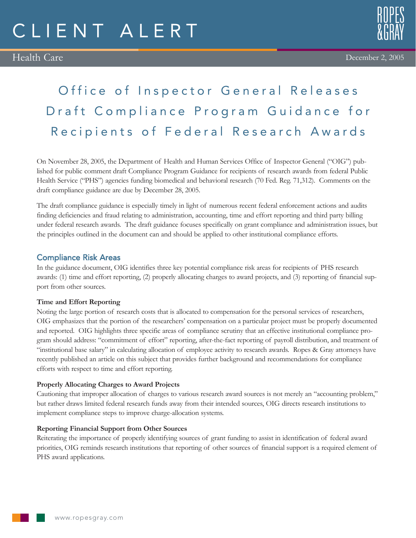# Office of Inspector General Releases Draft Compliance Program Guidance for Recipients of Federal Research Awards

On November 28, 2005, the Department of Health and Human Services Office of Inspector General ("OIG") published for public comment draft Compliance Program Guidance for recipients of research awards from federal Public Health Service ("PHS") agencies funding biomedical and behavioral research (70 Fed. Reg. 71,312). Comments on the draft compliance guidance are due by December 28, 2005.

The draft compliance guidance is especially timely in light of numerous recent federal enforcement actions and audits finding deficiencies and fraud relating to administration, accounting, time and effort reporting and third party billing under federal research awards. The draft guidance focuses specifically on grant compliance and administration issues, but the principles outlined in the document can and should be applied to other institutional compliance efforts.

## Compliance Risk Areas

In the guidance document, OIG identifies three key potential compliance risk areas for recipients of PHS research awards: (1) time and effort reporting, (2) properly allocating charges to award projects, and (3) reporting of financial support from other sources.

#### **Time and Effort Reporting**

Noting the large portion of research costs that is allocated to compensation for the personal services of researchers, OIG emphasizes that the portion of the researchers' compensation on a particular project must be properly documented and reported. OIG highlights three specific areas of compliance scrutiny that an effective institutional compliance program should address: "commitment of effort" reporting, after-the-fact reporting of payroll distribution, and treatment of "institutional base salary" in calculating allocation of employee activity to research awards. Ropes & Gray attorneys have recently published an article on this subject that provides further background and recommendations for compliance efforts with respect to time and effort reporting.

#### **Properly Allocating Charges to Award Projects**

Cautioning that improper allocation of charges to various research award sources is not merely an "accounting problem," but rather draws limited federal research funds away from their intended sources, OIG directs research institutions to implement compliance steps to improve charge-allocation systems.

#### **Reporting Financial Support from Other Sources**

Reiterating the importance of properly identifying sources of grant funding to assist in identification of federal award priorities, OIG reminds research institutions that reporting of other sources of financial support is a required element of PHS award applications.